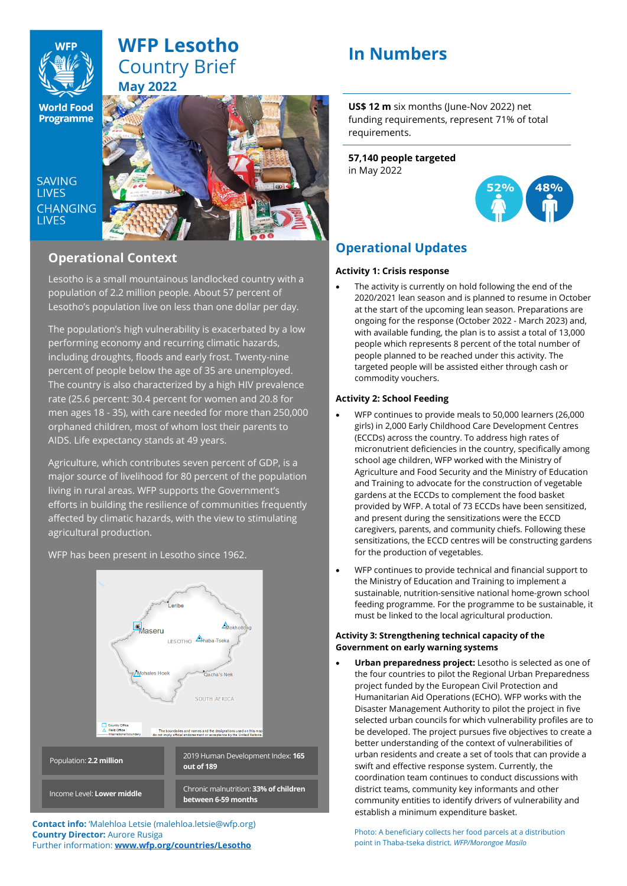

## **WFP Lesotho** Country Brief **May 2022**

**World Food Programme** 

SAVING **TIVES CHANGING I IVES** 



## **Operational Context**

Lesotho is a small mountainous landlocked country with a population of 2.2 million people. About 57 percent of Lesotho's population live on less than one dollar per day.

The population's high vulnerability is exacerbated by a low performing economy and recurring climatic hazards, including droughts, floods and early frost. Twenty-nine percent of people below the age of 35 are unemployed. The country is also characterized by a high HIV prevalence rate (25.6 percent: 30.4 percent for women and 20.8 for men ages 18 - 35), with care needed for more than 250,000 orphaned children, most of whom lost their parents to AIDS. Life expectancy stands at 49 years.

Agriculture, which contributes seven percent of GDP, is a major source of livelihood for 80 percent of the population living in rural areas. WFP supports the Government's efforts in building the resilience of communities frequently affected by climatic hazards, with the view to stimulating agricultural production.

WFP has been present in Lesotho since 1962.



**Contact info:** 'Malehloa Letsie (malehloa.letsie@wfp.org) **Country Director:** Aurore Rusiga Further information: **[www.wfp.org/countries/Lesotho](http://www.wfp.org/countries/Lesotho)**

# **In Numbers**

**US\$ 12 m** six months (June-Nov 2022) net funding requirements, represent 71% of total requirements.

**57,140 people targeted** in May 2022



## **Operational Updates**

## **Activity 1: Crisis response**

The activity is currently on hold following the end of the 2020/2021 lean season and is planned to resume in October at the start of the upcoming lean season. Preparations are ongoing for the response (October 2022 - March 2023) and, with available funding, the plan is to assist a total of 13,000 people which represents 8 percent of the total number of people planned to be reached under this activity. The targeted people will be assisted either through cash or commodity vouchers.

## **Activity 2: School Feeding**

- WFP continues to provide meals to 50,000 learners (26,000 girls) in 2,000 Early Childhood Care Development Centres (ECCDs) across the country. To address high rates of micronutrient deficiencies in the country, specifically among school age children, WFP worked with the Ministry of Agriculture and Food Security and the Ministry of Education and Training to advocate for the construction of vegetable gardens at the ECCDs to complement the food basket provided by WFP. A total of 73 ECCDs have been sensitized, and present during the sensitizations were the ECCD caregivers, parents, and community chiefs. Following these sensitizations, the ECCD centres will be constructing gardens for the production of vegetables.
- WFP continues to provide technical and financial support to the Ministry of Education and Training to implement a sustainable, nutrition-sensitive national home-grown school feeding programme. For the programme to be sustainable, it must be linked to the local agricultural production.

### **Activity 3: Strengthening technical capacity of the Government on early warning systems**

• **Urban preparedness project:** Lesotho is selected as one of the four countries to pilot the Regional Urban Preparedness project funded by the European Civil Protection and Humanitarian Aid Operations (ECHO). WFP works with the Disaster Management Authority to pilot the project in five selected urban councils for which vulnerability profiles are to be developed. The project pursues five objectives to create a better understanding of the context of vulnerabilities of urban residents and create a set of tools that can provide a swift and effective response system. Currently, the coordination team continues to conduct discussions with district teams, community key informants and other community entities to identify drivers of vulnerability and establish a minimum expenditure basket.

Photo: A beneficiary collects her food parcels at a distribution point in Thaba-tseka district*. WFP/Morongoe Masilo*